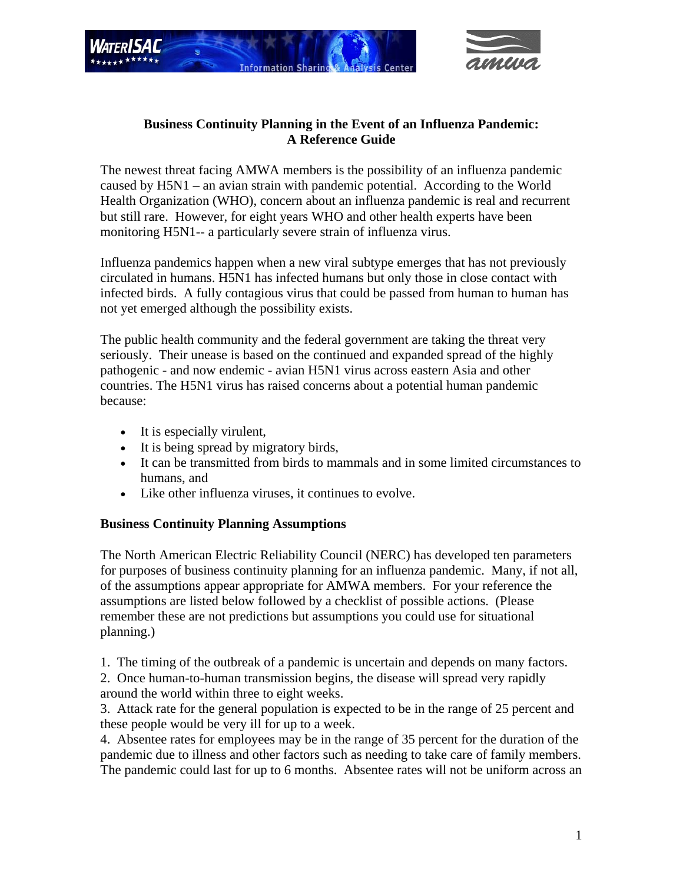



## **Business Continuity Planning in the Event of an Influenza Pandemic: A Reference Guide**

The newest threat facing AMWA members is the possibility of an influenza pandemic caused by H5N1 – an avian strain with pandemic potential. According to the World Health Organization (WHO), concern about an influenza pandemic is real and recurrent but still rare. However, for eight years WHO and other health experts have been monitoring H5N1-- a particularly severe strain of influenza virus.

Influenza pandemics happen when a new viral subtype emerges that has not previously circulated in humans. H5N1 has infected humans but only those in close contact with infected birds. A fully contagious virus that could be passed from human to human has not yet emerged although the possibility exists.

The public health community and the federal government are taking the threat very seriously. Their unease is based on the continued and expanded spread of the highly pathogenic - and now endemic - avian H5N1 virus across eastern Asia and other countries. The H5N1 virus has raised concerns about a potential human pandemic because:

- It is especially virulent,
- It is being spread by migratory birds,
- It can be transmitted from birds to mammals and in some limited circumstances to humans, and
- Like other influenza viruses, it continues to evolve.

## **Business Continuity Planning Assumptions**

The North American Electric Reliability Council (NERC) has developed ten parameters for purposes of business continuity planning for an influenza pandemic. Many, if not all, of the assumptions appear appropriate for AMWA members. For your reference the assumptions are listed below followed by a checklist of possible actions. (Please remember these are not predictions but assumptions you could use for situational planning.)

1. The timing of the outbreak of a pandemic is uncertain and depends on many factors.

2. Once human-to-human transmission begins, the disease will spread very rapidly around the world within three to eight weeks.

3. Attack rate for the general population is expected to be in the range of 25 percent and these people would be very ill for up to a week.

4. Absentee rates for employees may be in the range of 35 percent for the duration of the pandemic due to illness and other factors such as needing to take care of family members. The pandemic could last for up to 6 months. Absentee rates will not be uniform across an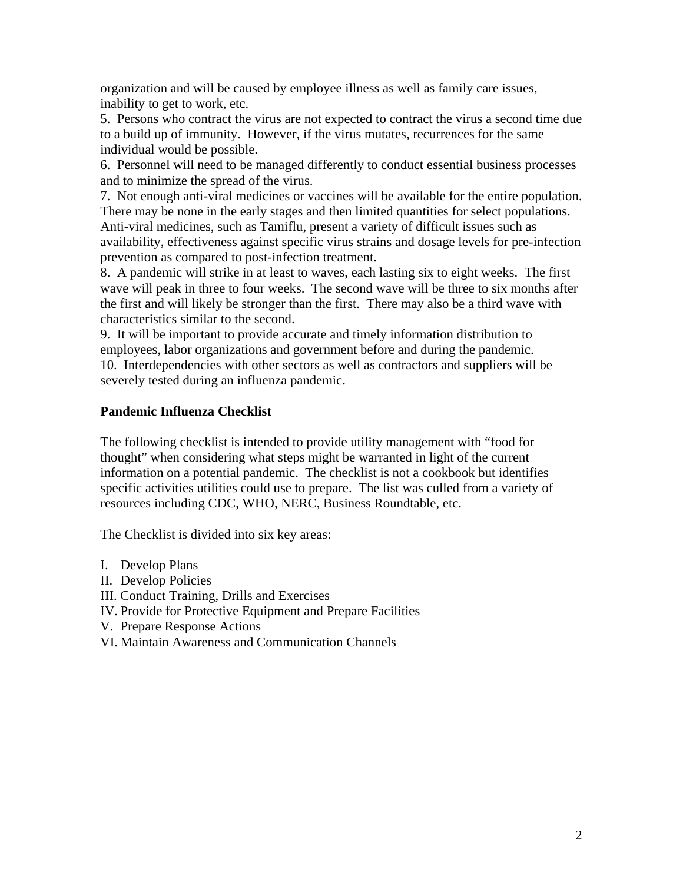organization and will be caused by employee illness as well as family care issues, inability to get to work, etc.

5. Persons who contract the virus are not expected to contract the virus a second time due to a build up of immunity. However, if the virus mutates, recurrences for the same individual would be possible.

6. Personnel will need to be managed differently to conduct essential business processes and to minimize the spread of the virus.

7. Not enough anti-viral medicines or vaccines will be available for the entire population. There may be none in the early stages and then limited quantities for select populations. Anti-viral medicines, such as Tamiflu, present a variety of difficult issues such as availability, effectiveness against specific virus strains and dosage levels for pre-infection prevention as compared to post-infection treatment.

8. A pandemic will strike in at least to waves, each lasting six to eight weeks. The first wave will peak in three to four weeks. The second wave will be three to six months after the first and will likely be stronger than the first. There may also be a third wave with characteristics similar to the second.

9. It will be important to provide accurate and timely information distribution to employees, labor organizations and government before and during the pandemic. 10. Interdependencies with other sectors as well as contractors and suppliers will be severely tested during an influenza pandemic.

## **Pandemic Influenza Checklist**

The following checklist is intended to provide utility management with "food for thought" when considering what steps might be warranted in light of the current information on a potential pandemic. The checklist is not a cookbook but identifies specific activities utilities could use to prepare. The list was culled from a variety of resources including CDC, WHO, NERC, Business Roundtable, etc.

The Checklist is divided into six key areas:

- I. Develop Plans
- II. Develop Policies
- III. Conduct Training, Drills and Exercises
- IV. Provide for Protective Equipment and Prepare Facilities
- V. Prepare Response Actions
- VI. Maintain Awareness and Communication Channels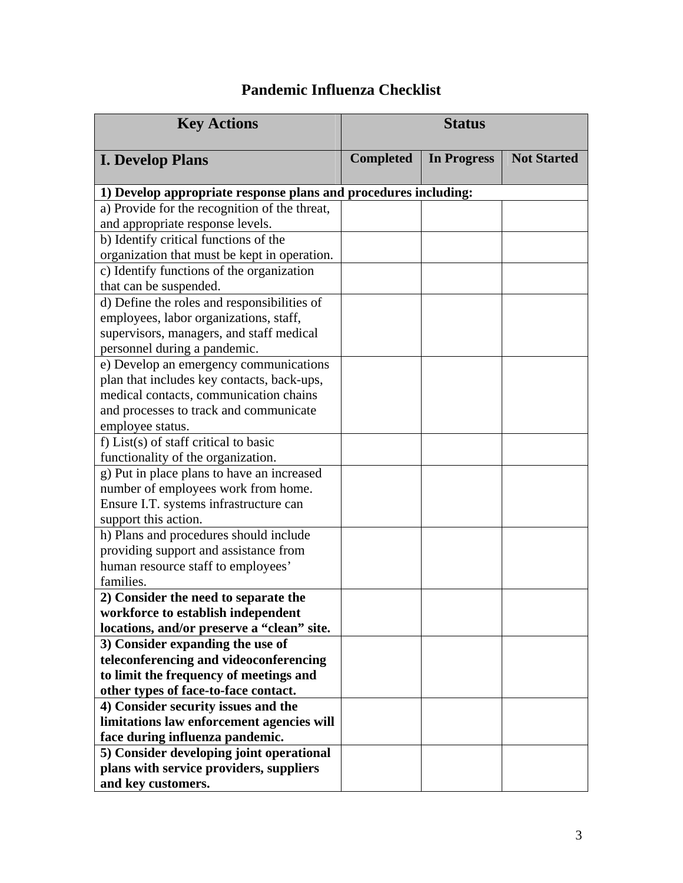## **Pandemic Influenza Checklist**

| <b>Key Actions</b>                                              | <b>Status</b>    |                    |                    |
|-----------------------------------------------------------------|------------------|--------------------|--------------------|
| <b>I. Develop Plans</b>                                         | <b>Completed</b> | <b>In Progress</b> | <b>Not Started</b> |
| 1) Develop appropriate response plans and procedures including: |                  |                    |                    |
| a) Provide for the recognition of the threat,                   |                  |                    |                    |
| and appropriate response levels.                                |                  |                    |                    |
| b) Identify critical functions of the                           |                  |                    |                    |
| organization that must be kept in operation.                    |                  |                    |                    |
| c) Identify functions of the organization                       |                  |                    |                    |
| that can be suspended.                                          |                  |                    |                    |
| d) Define the roles and responsibilities of                     |                  |                    |                    |
| employees, labor organizations, staff,                          |                  |                    |                    |
| supervisors, managers, and staff medical                        |                  |                    |                    |
| personnel during a pandemic.                                    |                  |                    |                    |
| e) Develop an emergency communications                          |                  |                    |                    |
| plan that includes key contacts, back-ups,                      |                  |                    |                    |
| medical contacts, communication chains                          |                  |                    |                    |
| and processes to track and communicate                          |                  |                    |                    |
| employee status.                                                |                  |                    |                    |
| f) List(s) of staff critical to basic                           |                  |                    |                    |
| functionality of the organization.                              |                  |                    |                    |
| g) Put in place plans to have an increased                      |                  |                    |                    |
| number of employees work from home.                             |                  |                    |                    |
| Ensure I.T. systems infrastructure can                          |                  |                    |                    |
| support this action.                                            |                  |                    |                    |
| h) Plans and procedures should include                          |                  |                    |                    |
| providing support and assistance from                           |                  |                    |                    |
| human resource staff to employees'                              |                  |                    |                    |
| families.                                                       |                  |                    |                    |
| 2) Consider the need to separate the                            |                  |                    |                    |
| workforce to establish independent                              |                  |                    |                    |
| locations, and/or preserve a "clean" site.                      |                  |                    |                    |
| 3) Consider expanding the use of                                |                  |                    |                    |
| teleconferencing and videoconferencing                          |                  |                    |                    |
| to limit the frequency of meetings and                          |                  |                    |                    |
| other types of face-to-face contact.                            |                  |                    |                    |
| 4) Consider security issues and the                             |                  |                    |                    |
| limitations law enforcement agencies will                       |                  |                    |                    |
| face during influenza pandemic.                                 |                  |                    |                    |
| 5) Consider developing joint operational                        |                  |                    |                    |
| plans with service providers, suppliers                         |                  |                    |                    |
| and key customers.                                              |                  |                    |                    |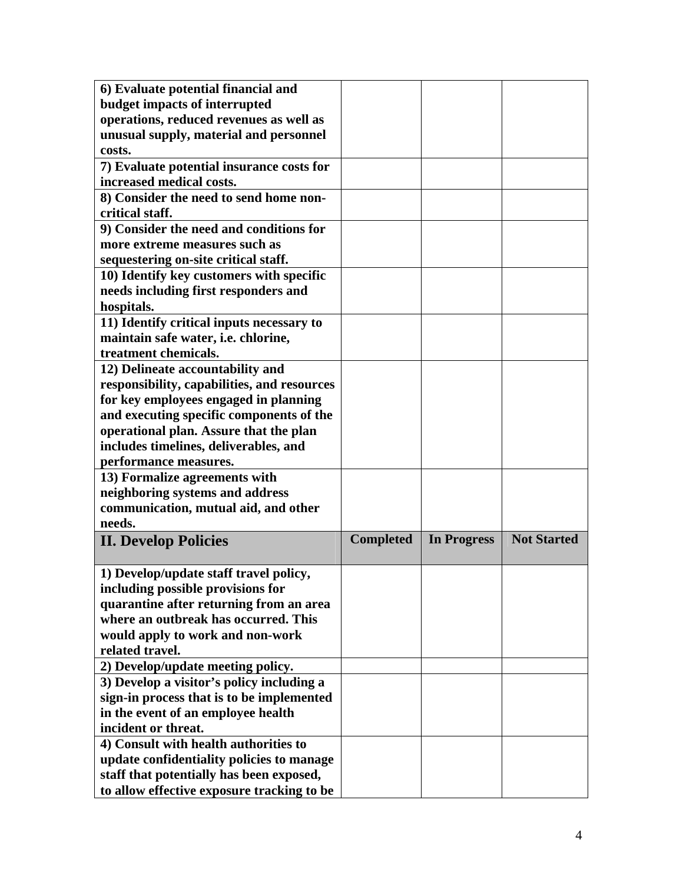| 6) Evaluate potential financial and                                                    |                  |                    |                    |
|----------------------------------------------------------------------------------------|------------------|--------------------|--------------------|
| budget impacts of interrupted                                                          |                  |                    |                    |
| operations, reduced revenues as well as                                                |                  |                    |                    |
| unusual supply, material and personnel                                                 |                  |                    |                    |
| costs.                                                                                 |                  |                    |                    |
| 7) Evaluate potential insurance costs for                                              |                  |                    |                    |
| increased medical costs.                                                               |                  |                    |                    |
| 8) Consider the need to send home non-                                                 |                  |                    |                    |
| critical staff.                                                                        |                  |                    |                    |
| 9) Consider the need and conditions for                                                |                  |                    |                    |
| more extreme measures such as                                                          |                  |                    |                    |
| sequestering on-site critical staff.                                                   |                  |                    |                    |
| 10) Identify key customers with specific                                               |                  |                    |                    |
| needs including first responders and                                                   |                  |                    |                    |
| hospitals.                                                                             |                  |                    |                    |
| 11) Identify critical inputs necessary to                                              |                  |                    |                    |
| maintain safe water, i.e. chlorine,                                                    |                  |                    |                    |
| treatment chemicals.                                                                   |                  |                    |                    |
| 12) Delineate accountability and                                                       |                  |                    |                    |
| responsibility, capabilities, and resources                                            |                  |                    |                    |
| for key employees engaged in planning                                                  |                  |                    |                    |
| and executing specific components of the                                               |                  |                    |                    |
| operational plan. Assure that the plan                                                 |                  |                    |                    |
| includes timelines, deliverables, and                                                  |                  |                    |                    |
| performance measures.                                                                  |                  |                    |                    |
| 13) Formalize agreements with                                                          |                  |                    |                    |
| neighboring systems and address                                                        |                  |                    |                    |
| communication, mutual aid, and other                                                   |                  |                    |                    |
| needs.                                                                                 |                  |                    |                    |
| <b>II. Develop Policies</b>                                                            | <b>Completed</b> | <b>In Progress</b> | <b>Not Started</b> |
|                                                                                        |                  |                    |                    |
| 1) Develop/update staff travel policy,                                                 |                  |                    |                    |
| including possible provisions for                                                      |                  |                    |                    |
|                                                                                        |                  |                    |                    |
|                                                                                        |                  |                    |                    |
| quarantine after returning from an area                                                |                  |                    |                    |
| where an outbreak has occurred. This                                                   |                  |                    |                    |
| would apply to work and non-work                                                       |                  |                    |                    |
| related travel.                                                                        |                  |                    |                    |
| 2) Develop/update meeting policy.                                                      |                  |                    |                    |
| 3) Develop a visitor's policy including a                                              |                  |                    |                    |
| sign-in process that is to be implemented                                              |                  |                    |                    |
| in the event of an employee health                                                     |                  |                    |                    |
| incident or threat.                                                                    |                  |                    |                    |
| 4) Consult with health authorities to                                                  |                  |                    |                    |
| update confidentiality policies to manage                                              |                  |                    |                    |
| staff that potentially has been exposed,<br>to allow effective exposure tracking to be |                  |                    |                    |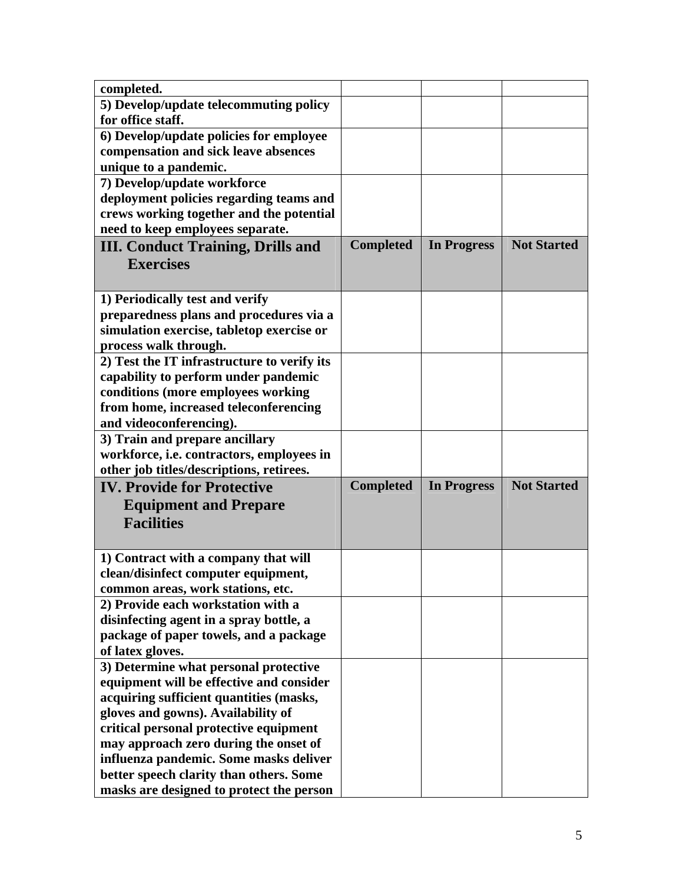| completed.                                                                    |                  |                    |                    |
|-------------------------------------------------------------------------------|------------------|--------------------|--------------------|
| 5) Develop/update telecommuting policy                                        |                  |                    |                    |
| for office staff.                                                             |                  |                    |                    |
| 6) Develop/update policies for employee                                       |                  |                    |                    |
| compensation and sick leave absences                                          |                  |                    |                    |
| unique to a pandemic.                                                         |                  |                    |                    |
| 7) Develop/update workforce                                                   |                  |                    |                    |
| deployment policies regarding teams and                                       |                  |                    |                    |
| crews working together and the potential                                      |                  |                    |                    |
| need to keep employees separate.                                              |                  |                    |                    |
| <b>III. Conduct Training, Drills and</b>                                      | <b>Completed</b> | <b>In Progress</b> | <b>Not Started</b> |
| <b>Exercises</b>                                                              |                  |                    |                    |
|                                                                               |                  |                    |                    |
|                                                                               |                  |                    |                    |
| 1) Periodically test and verify<br>preparedness plans and procedures via a    |                  |                    |                    |
|                                                                               |                  |                    |                    |
| simulation exercise, tabletop exercise or                                     |                  |                    |                    |
| process walk through.                                                         |                  |                    |                    |
| 2) Test the IT infrastructure to verify its                                   |                  |                    |                    |
| capability to perform under pandemic                                          |                  |                    |                    |
| conditions (more employees working<br>from home, increased teleconferencing   |                  |                    |                    |
|                                                                               |                  |                    |                    |
| and videoconferencing).                                                       |                  |                    |                    |
| 3) Train and prepare ancillary                                                |                  |                    |                    |
| workforce, i.e. contractors, employees in                                     |                  |                    |                    |
| other job titles/descriptions, retirees.<br><b>IV. Provide for Protective</b> | <b>Completed</b> | <b>In Progress</b> | <b>Not Started</b> |
|                                                                               |                  |                    |                    |
| <b>Equipment and Prepare</b>                                                  |                  |                    |                    |
| <b>Facilities</b>                                                             |                  |                    |                    |
|                                                                               |                  |                    |                    |
| 1) Contract with a company that will                                          |                  |                    |                    |
| clean/disinfect computer equipment,                                           |                  |                    |                    |
| common areas, work stations, etc.                                             |                  |                    |                    |
| 2) Provide each workstation with a                                            |                  |                    |                    |
| disinfecting agent in a spray bottle, a                                       |                  |                    |                    |
| package of paper towels, and a package                                        |                  |                    |                    |
| of latex gloves.                                                              |                  |                    |                    |
| 3) Determine what personal protective                                         |                  |                    |                    |
| equipment will be effective and consider                                      |                  |                    |                    |
| acquiring sufficient quantities (masks,                                       |                  |                    |                    |
| gloves and gowns). Availability of                                            |                  |                    |                    |
| critical personal protective equipment                                        |                  |                    |                    |
| may approach zero during the onset of                                         |                  |                    |                    |
| influenza pandemic. Some masks deliver                                        |                  |                    |                    |
| better speech clarity than others. Some                                       |                  |                    |                    |
|                                                                               |                  |                    |                    |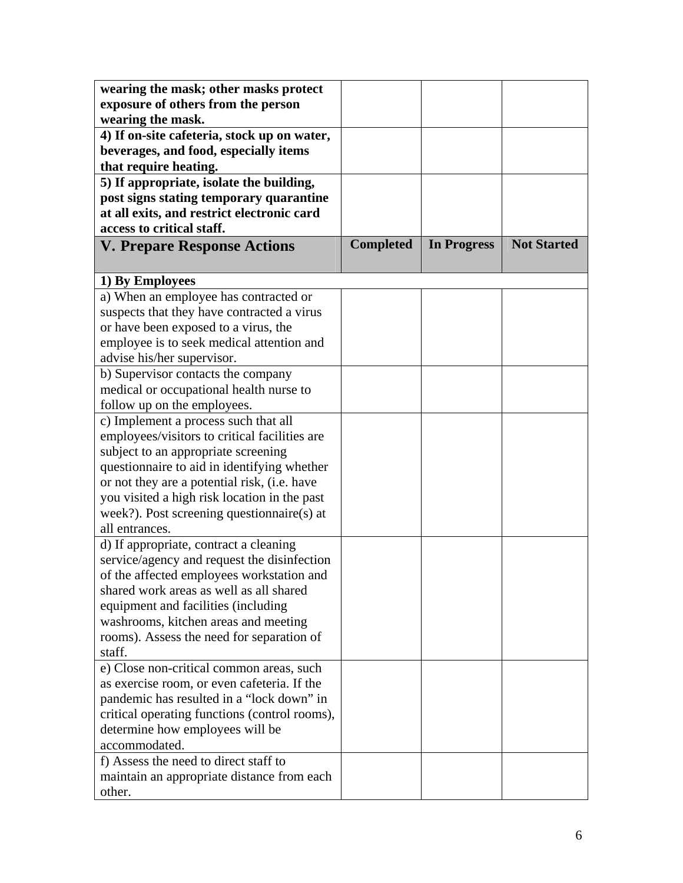| wearing the mask; other masks protect         |                  |                    |                    |
|-----------------------------------------------|------------------|--------------------|--------------------|
| exposure of others from the person            |                  |                    |                    |
| wearing the mask.                             |                  |                    |                    |
| 4) If on-site cafeteria, stock up on water,   |                  |                    |                    |
| beverages, and food, especially items         |                  |                    |                    |
| that require heating.                         |                  |                    |                    |
| 5) If appropriate, isolate the building,      |                  |                    |                    |
| post signs stating temporary quarantine       |                  |                    |                    |
| at all exits, and restrict electronic card    |                  |                    |                    |
| access to critical staff.                     |                  |                    |                    |
| <b>V. Prepare Response Actions</b>            | <b>Completed</b> | <b>In Progress</b> | <b>Not Started</b> |
|                                               |                  |                    |                    |
| 1) By Employees                               |                  |                    |                    |
| a) When an employee has contracted or         |                  |                    |                    |
| suspects that they have contracted a virus    |                  |                    |                    |
| or have been exposed to a virus, the          |                  |                    |                    |
| employee is to seek medical attention and     |                  |                    |                    |
| advise his/her supervisor.                    |                  |                    |                    |
| b) Supervisor contacts the company            |                  |                    |                    |
| medical or occupational health nurse to       |                  |                    |                    |
| follow up on the employees.                   |                  |                    |                    |
| c) Implement a process such that all          |                  |                    |                    |
| employees/visitors to critical facilities are |                  |                    |                    |
| subject to an appropriate screening           |                  |                    |                    |
| questionnaire to aid in identifying whether   |                  |                    |                    |
| or not they are a potential risk, (i.e. have  |                  |                    |                    |
| you visited a high risk location in the past  |                  |                    |                    |
| week?). Post screening questionnaire(s) at    |                  |                    |                    |
| all entrances.                                |                  |                    |                    |
| d) If appropriate, contract a cleaning        |                  |                    |                    |
| service/agency and request the disinfection   |                  |                    |                    |
| of the affected employees workstation and     |                  |                    |                    |
| shared work areas as well as all shared       |                  |                    |                    |
| equipment and facilities (including           |                  |                    |                    |
| washrooms, kitchen areas and meeting          |                  |                    |                    |
| rooms). Assess the need for separation of     |                  |                    |                    |
| staff.                                        |                  |                    |                    |
| e) Close non-critical common areas, such      |                  |                    |                    |
| as exercise room, or even cafeteria. If the   |                  |                    |                    |
| pandemic has resulted in a "lock down" in     |                  |                    |                    |
| critical operating functions (control rooms), |                  |                    |                    |
| determine how employees will be               |                  |                    |                    |
| accommodated.                                 |                  |                    |                    |
| f) Assess the need to direct staff to         |                  |                    |                    |
| maintain an appropriate distance from each    |                  |                    |                    |
| other.                                        |                  |                    |                    |
|                                               |                  |                    |                    |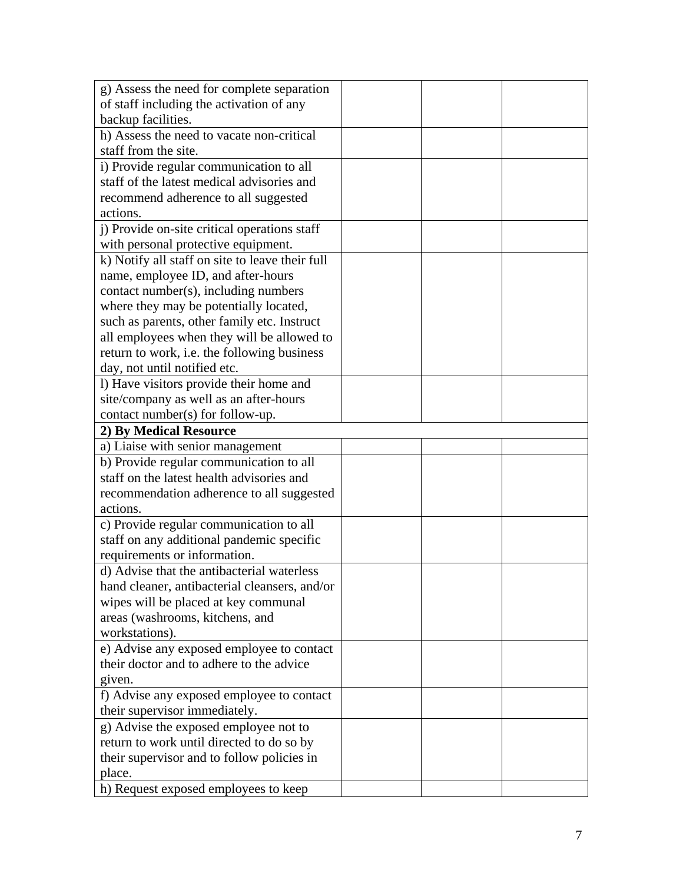| g) Assess the need for complete separation      |  |  |
|-------------------------------------------------|--|--|
| of staff including the activation of any        |  |  |
| backup facilities.                              |  |  |
| h) Assess the need to vacate non-critical       |  |  |
| staff from the site.                            |  |  |
| i) Provide regular communication to all         |  |  |
| staff of the latest medical advisories and      |  |  |
| recommend adherence to all suggested            |  |  |
| actions.                                        |  |  |
| j) Provide on-site critical operations staff    |  |  |
| with personal protective equipment.             |  |  |
| k) Notify all staff on site to leave their full |  |  |
| name, employee ID, and after-hours              |  |  |
| contact number(s), including numbers            |  |  |
| where they may be potentially located,          |  |  |
| such as parents, other family etc. Instruct     |  |  |
| all employees when they will be allowed to      |  |  |
| return to work, i.e. the following business     |  |  |
| day, not until notified etc.                    |  |  |
| I) Have visitors provide their home and         |  |  |
| site/company as well as an after-hours          |  |  |
| contact number(s) for follow-up.                |  |  |
| 2) By Medical Resource                          |  |  |
| a) Liaise with senior management                |  |  |
| b) Provide regular communication to all         |  |  |
| staff on the latest health advisories and       |  |  |
| recommendation adherence to all suggested       |  |  |
| actions.                                        |  |  |
| c) Provide regular communication to all         |  |  |
| staff on any additional pandemic specific       |  |  |
| requirements or information.                    |  |  |
| d) Advise that the antibacterial waterless      |  |  |
| hand cleaner, antibacterial cleansers, and/or   |  |  |
| wipes will be placed at key communal            |  |  |
| areas (washrooms, kitchens, and                 |  |  |
| workstations).                                  |  |  |
| e) Advise any exposed employee to contact       |  |  |
| their doctor and to adhere to the advice        |  |  |
| given.                                          |  |  |
| f) Advise any exposed employee to contact       |  |  |
| their supervisor immediately.                   |  |  |
| g) Advise the exposed employee not to           |  |  |
| return to work until directed to do so by       |  |  |
| their supervisor and to follow policies in      |  |  |
| place.                                          |  |  |
| h) Request exposed employees to keep            |  |  |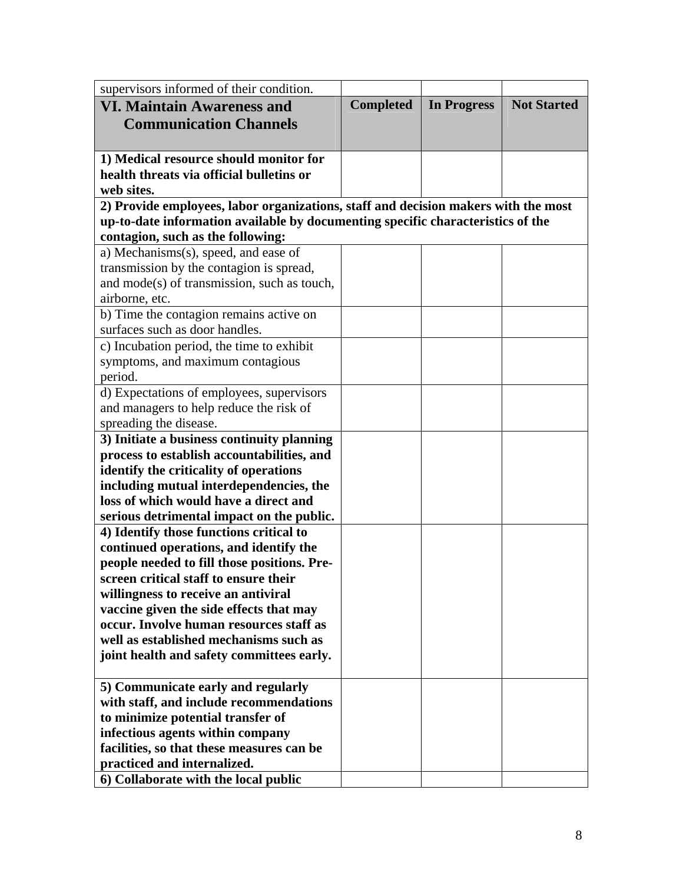| supervisors informed of their condition.                                           |                  |                    |                    |
|------------------------------------------------------------------------------------|------------------|--------------------|--------------------|
| <b>VI. Maintain Awareness and</b>                                                  | <b>Completed</b> | <b>In Progress</b> | <b>Not Started</b> |
| <b>Communication Channels</b>                                                      |                  |                    |                    |
|                                                                                    |                  |                    |                    |
| 1) Medical resource should monitor for                                             |                  |                    |                    |
| health threats via official bulletins or                                           |                  |                    |                    |
| web sites.                                                                         |                  |                    |                    |
| 2) Provide employees, labor organizations, staff and decision makers with the most |                  |                    |                    |
| up-to-date information available by documenting specific characteristics of the    |                  |                    |                    |
| contagion, such as the following:                                                  |                  |                    |                    |
| a) Mechanisms(s), speed, and ease of                                               |                  |                    |                    |
| transmission by the contagion is spread,                                           |                  |                    |                    |
| and mode(s) of transmission, such as touch,                                        |                  |                    |                    |
| airborne, etc.                                                                     |                  |                    |                    |
| b) Time the contagion remains active on                                            |                  |                    |                    |
| surfaces such as door handles.                                                     |                  |                    |                    |
| c) Incubation period, the time to exhibit                                          |                  |                    |                    |
| symptoms, and maximum contagious                                                   |                  |                    |                    |
| period.                                                                            |                  |                    |                    |
| d) Expectations of employees, supervisors                                          |                  |                    |                    |
| and managers to help reduce the risk of                                            |                  |                    |                    |
| spreading the disease.                                                             |                  |                    |                    |
| 3) Initiate a business continuity planning                                         |                  |                    |                    |
| process to establish accountabilities, and                                         |                  |                    |                    |
| identify the criticality of operations                                             |                  |                    |                    |
| including mutual interdependencies, the<br>loss of which would have a direct and   |                  |                    |                    |
|                                                                                    |                  |                    |                    |
| serious detrimental impact on the public.                                          |                  |                    |                    |
| 4) Identify those functions critical to<br>continued operations, and identify the  |                  |                    |                    |
| people needed to fill those positions. Pre-                                        |                  |                    |                    |
| screen critical staff to ensure their                                              |                  |                    |                    |
| willingness to receive an antiviral                                                |                  |                    |                    |
| vaccine given the side effects that may                                            |                  |                    |                    |
| occur. Involve human resources staff as                                            |                  |                    |                    |
| well as established mechanisms such as                                             |                  |                    |                    |
| joint health and safety committees early.                                          |                  |                    |                    |
|                                                                                    |                  |                    |                    |
| 5) Communicate early and regularly                                                 |                  |                    |                    |
| with staff, and include recommendations                                            |                  |                    |                    |
| to minimize potential transfer of                                                  |                  |                    |                    |
| infectious agents within company                                                   |                  |                    |                    |
| facilities, so that these measures can be                                          |                  |                    |                    |
| practiced and internalized.                                                        |                  |                    |                    |
| 6) Collaborate with the local public                                               |                  |                    |                    |